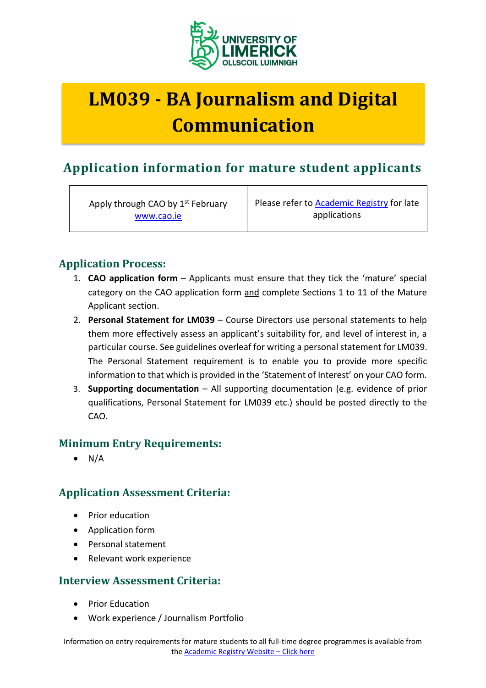

# **LM039 - BA Journalism and Digital Communication**

# **Application information for mature student applicants**

Apply through CAO by 1<sup>st</sup> February [www.cao.ie](http://www.cao.ie/)

Please refer to [Academic Registry](https://www.ul.ie/academic-registry/prospective-students/applying-ul) for late applications

## **Application Process:**

- 1. **CAO application form** Applicants must ensure that they tick the 'mature' special category on the CAO application form and complete Sections 1 to 11 of the Mature Applicant section.
- 2. **Personal Statement for LM039** Course Directors use personal statements to help them more effectively assess an applicant's suitability for, and level of interest in, a particular course. See guidelines overleaf for writing a personal statement for LM039. The Personal Statement requirement is to enable you to provide more specific information to that which is provided in the 'Statement of Interest' on your CAO form.
- 3. **Supporting documentation** All supporting documentation (e.g. evidence of prior qualifications, Personal Statement for LM039 etc.) should be posted directly to the CAO.

#### **Minimum Entry Requirements:**

 $N/A$ 

## **Application Assessment Criteria:**

- Prior education
- Application form
- Personal statement
- Relevant work experience

## **Interview Assessment Criteria:**

- Prior Education
- Work experience / Journalism Portfolio